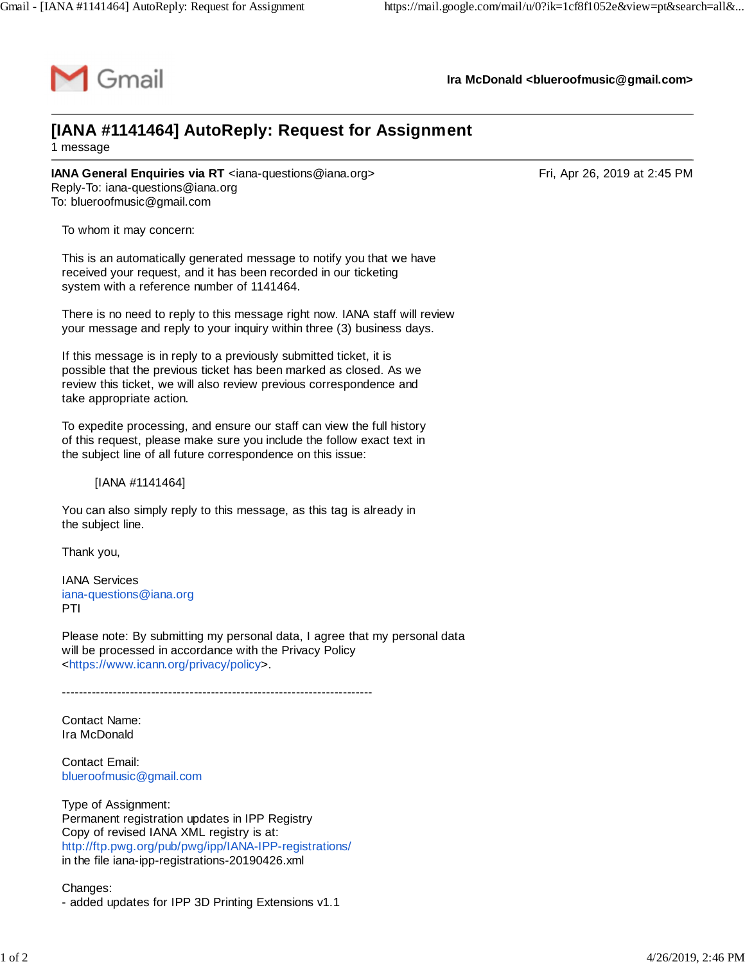

**Ira McDonald [<blueroofmusic@gmail.com>](mailto:blueroofmusic@gmail.com)**

## **[IANA #1141464] AutoReply: Request for Assignment** 1 message

**IANA General Enquiries via RT** <[iana-questions@iana.org](mailto:iana-questions@iana.org)>
Fri, Apr 26, 2019 at 2:45 PM Reply-To: [iana-questions@iana.org](mailto:iana-questions@iana.org) To: [blueroofmusic@gmail.com](mailto:blueroofmusic@gmail.com)

To whom it may concern:

This is an automatically generated message to notify you that we have received your request, and it has been recorded in our ticketing system with a reference number of 1141464.

There is no need to reply to this message right now. IANA staff will review your message and reply to your inquiry within three (3) business days.

If this message is in reply to a previously submitted ticket, it is possible that the previous ticket has been marked as closed. As we review this ticket, we will also review previous correspondence and take appropriate action.

To expedite processing, and ensure our staff can view the full history of this request, please make sure you include the follow exact text in the subject line of all future correspondence on this issue:

[IANA #1141464]

You can also simply reply to this message, as this tag is already in the subject line.

Thank you,

IANA Services [iana-questions@iana.org](mailto:iana-questions@iana.org) PTI

Please note: By submitting my personal data, I agree that my personal data will be processed in accordance with the Privacy Policy <[https://www.icann.org/privacy/policy>](https://www.icann.org/privacy/policy).

-------------------------------------------------------------------------

Contact Name: Ira McDonald

Contact Email: [blueroofmusic@gmail.com](mailto:blueroofmusic@gmail.com)

Type of Assignment: Permanent registration updates in IPP Registry Copy of revised IANA XML registry is at: <http://ftp.pwg.org/pub/pwg/ipp/IANA-IPP-registrations/> in the file iana-ipp-registrations-20190426.xml

Changes: - added updates for IPP 3D Printing Extensions v1.1